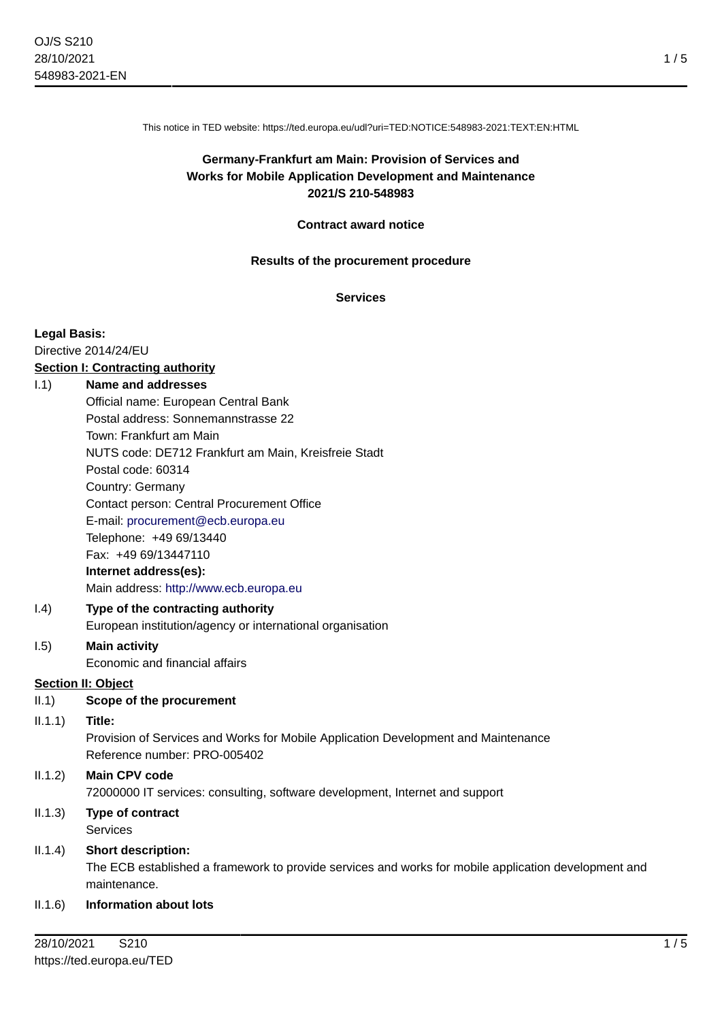This notice in TED website: https://ted.europa.eu/udl?uri=TED:NOTICE:548983-2021:TEXT:EN:HTML

# **Germany-Frankfurt am Main: Provision of Services and Works for Mobile Application Development and Maintenance 2021/S 210-548983**

### **Contract award notice**

#### **Results of the procurement procedure**

### **Services**

#### **Legal Basis:**

Directive 2014/24/EU

# **Section I: Contracting authority**

### I.1) **Name and addresses**

Official name: European Central Bank Postal address: Sonnemannstrasse 22 Town: Frankfurt am Main NUTS code: DE712 Frankfurt am Main, Kreisfreie Stadt Postal code: 60314 Country: Germany Contact person: Central Procurement Office E-mail: [procurement@ecb.europa.eu](mailto:procurement@ecb.europa.eu) Telephone: +49 69/13440 Fax: +49 69/13447110 **Internet address(es):** Main address:<http://www.ecb.europa.eu>

### I.4) **Type of the contracting authority** European institution/agency or international organisation

#### I.5) **Main activity** Economic and financial affairs

### **Section II: Object**

II.1) **Scope of the procurement**

#### II.1.1) **Title:**

Provision of Services and Works for Mobile Application Development and Maintenance Reference number: PRO-005402

# II.1.2) **Main CPV code** 72000000 IT services: consulting, software development, Internet and support

### II.1.3) **Type of contract** Services

### II.1.4) **Short description:**

The ECB established a framework to provide services and works for mobile application development and maintenance.

### II.1.6) **Information about lots**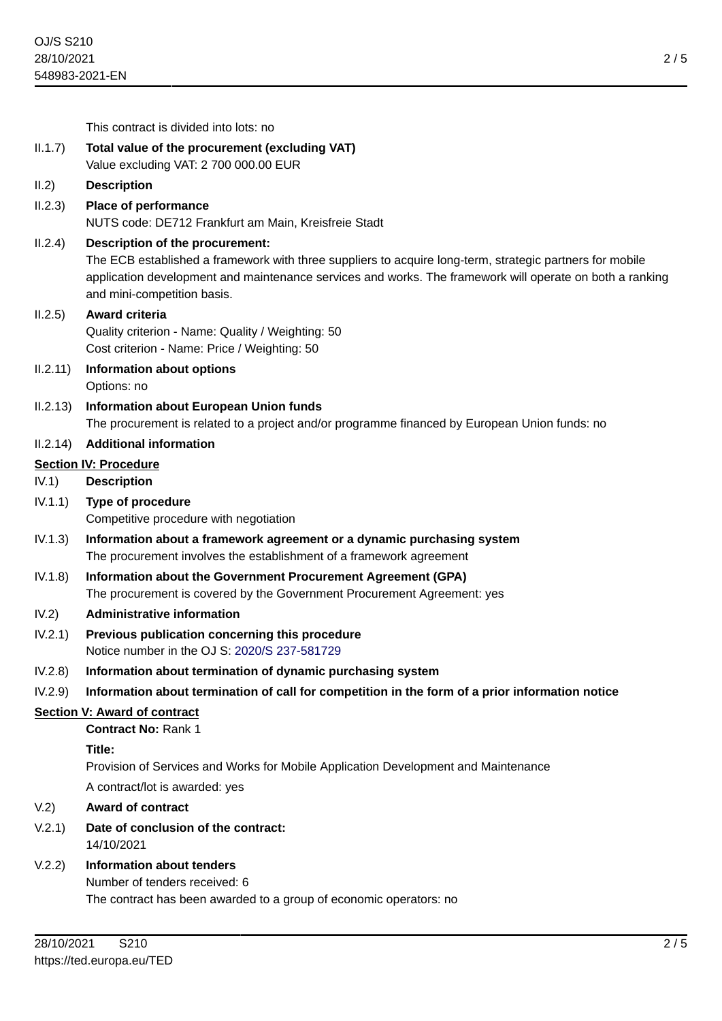|                                     | This contract is divided into lots: no                                                                                                                                                                                                                                                 |
|-------------------------------------|----------------------------------------------------------------------------------------------------------------------------------------------------------------------------------------------------------------------------------------------------------------------------------------|
| II.1.7)                             | Total value of the procurement (excluding VAT)                                                                                                                                                                                                                                         |
|                                     | Value excluding VAT: 2 700 000.00 EUR                                                                                                                                                                                                                                                  |
| II.2)                               | <b>Description</b>                                                                                                                                                                                                                                                                     |
| II.2.3)                             | Place of performance                                                                                                                                                                                                                                                                   |
|                                     | NUTS code: DE712 Frankfurt am Main, Kreisfreie Stadt                                                                                                                                                                                                                                   |
| II.2.4)                             | Description of the procurement:<br>The ECB established a framework with three suppliers to acquire long-term, strategic partners for mobile<br>application development and maintenance services and works. The framework will operate on both a ranking<br>and mini-competition basis. |
| II.2.5)                             | Award criteria<br>Quality criterion - Name: Quality / Weighting: 50<br>Cost criterion - Name: Price / Weighting: 50                                                                                                                                                                    |
| II.2.11)                            | <b>Information about options</b><br>Options: no                                                                                                                                                                                                                                        |
| II.2.13)                            | Information about European Union funds                                                                                                                                                                                                                                                 |
|                                     | The procurement is related to a project and/or programme financed by European Union funds: no                                                                                                                                                                                          |
| II.2.14)                            | <b>Additional information</b>                                                                                                                                                                                                                                                          |
| <b>Section IV: Procedure</b>        |                                                                                                                                                                                                                                                                                        |
| IV.1)                               | <b>Description</b>                                                                                                                                                                                                                                                                     |
| IV.1.1)                             | Type of procedure<br>Competitive procedure with negotiation                                                                                                                                                                                                                            |
| IV.1.3)                             | Information about a framework agreement or a dynamic purchasing system<br>The procurement involves the establishment of a framework agreement                                                                                                                                          |
| IV.1.8)                             | Information about the Government Procurement Agreement (GPA)<br>The procurement is covered by the Government Procurement Agreement: yes                                                                                                                                                |
| IV.2)                               | <b>Administrative information</b>                                                                                                                                                                                                                                                      |
| IV.2.1)                             | Previous publication concerning this procedure<br>Notice number in the OJ S: 2020/S 237-581729                                                                                                                                                                                         |
| IV.2.8)                             | Information about termination of dynamic purchasing system                                                                                                                                                                                                                             |
| IV.2.9)                             | Information about termination of call for competition in the form of a prior information notice                                                                                                                                                                                        |
| <b>Section V: Award of contract</b> |                                                                                                                                                                                                                                                                                        |
|                                     | <b>Contract No: Rank 1</b>                                                                                                                                                                                                                                                             |
|                                     | Title:                                                                                                                                                                                                                                                                                 |
|                                     | Provision of Services and Works for Mobile Application Development and Maintenance                                                                                                                                                                                                     |
|                                     | A contract/lot is awarded: yes                                                                                                                                                                                                                                                         |
| V.2)                                | <b>Award of contract</b>                                                                                                                                                                                                                                                               |
| V.2.1)                              | Date of conclusion of the contract:<br>14/10/2021                                                                                                                                                                                                                                      |
| V.2.2)                              | <b>Information about tenders</b>                                                                                                                                                                                                                                                       |
|                                     | Number of tenders received: 6                                                                                                                                                                                                                                                          |
|                                     | The contract has been awarded to a group of economic operators: no                                                                                                                                                                                                                     |
| 20/10/2021<br>0.210                 |                                                                                                                                                                                                                                                                                        |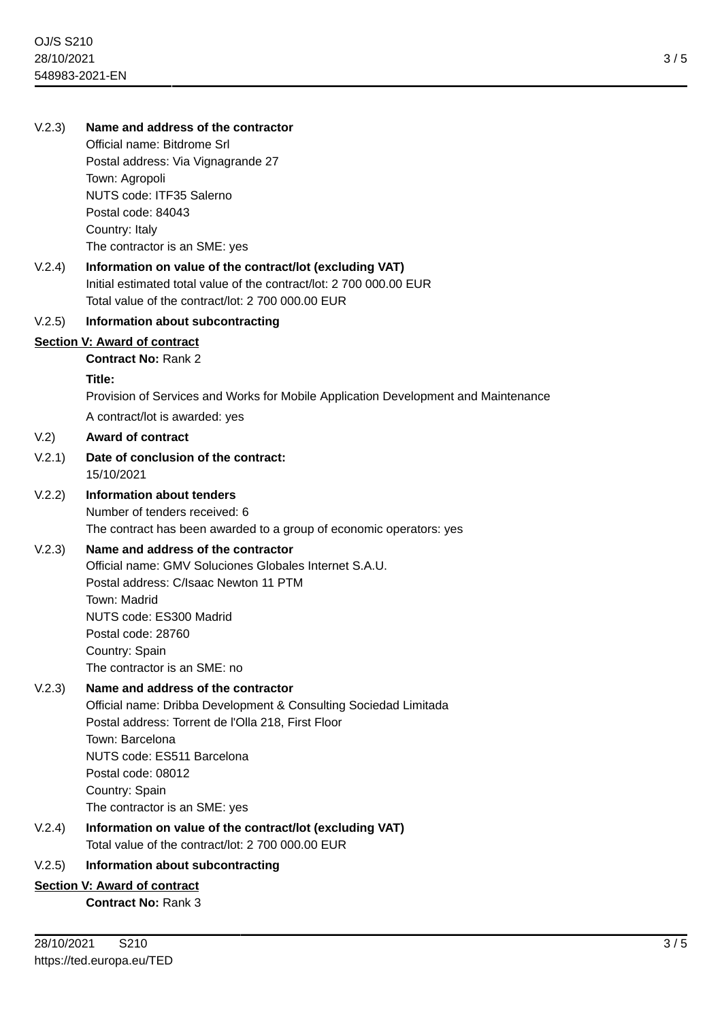# V.2.3) **Name and address of the contractor**

Official name: Bitdrome Srl Postal address: Via Vignagrande 27 Town: Agropoli NUTS code: ITF35 Salerno Postal code: 84043 Country: Italy The contractor is an SME: yes

# V.2.4) **Information on value of the contract/lot (excluding VAT)** Initial estimated total value of the contract/lot: 2 700 000.00 EUR Total value of the contract/lot: 2 700 000.00 EUR

### V.2.5) **Information about subcontracting**

### **Section V: Award of contract**

**Contract No:** Rank 2

#### **Title:**

Provision of Services and Works for Mobile Application Development and Maintenance

A contract/lot is awarded: yes

### V.2) **Award of contract**

- V.2.1) **Date of conclusion of the contract:** 15/10/2021
- V.2.2) **Information about tenders**

Number of tenders received: 6 The contract has been awarded to a group of economic operators: yes

# V.2.3) **Name and address of the contractor**

Official name: GMV Soluciones Globales Internet S.A.U. Postal address: C/Isaac Newton 11 PTM Town: Madrid NUTS code: ES300 Madrid Postal code: 28760 Country: Spain The contractor is an SME: no

# V.2.3) **Name and address of the contractor**

Official name: Dribba Development & Consulting Sociedad Limitada Postal address: Torrent de l'Olla 218, First Floor Town: Barcelona NUTS code: ES511 Barcelona Postal code: 08012 Country: Spain The contractor is an SME: yes

V.2.4) **Information on value of the contract/lot (excluding VAT)** Total value of the contract/lot: 2 700 000.00 EUR

# V.2.5) **Information about subcontracting**

### **Section V: Award of contract**

**Contract No:** Rank 3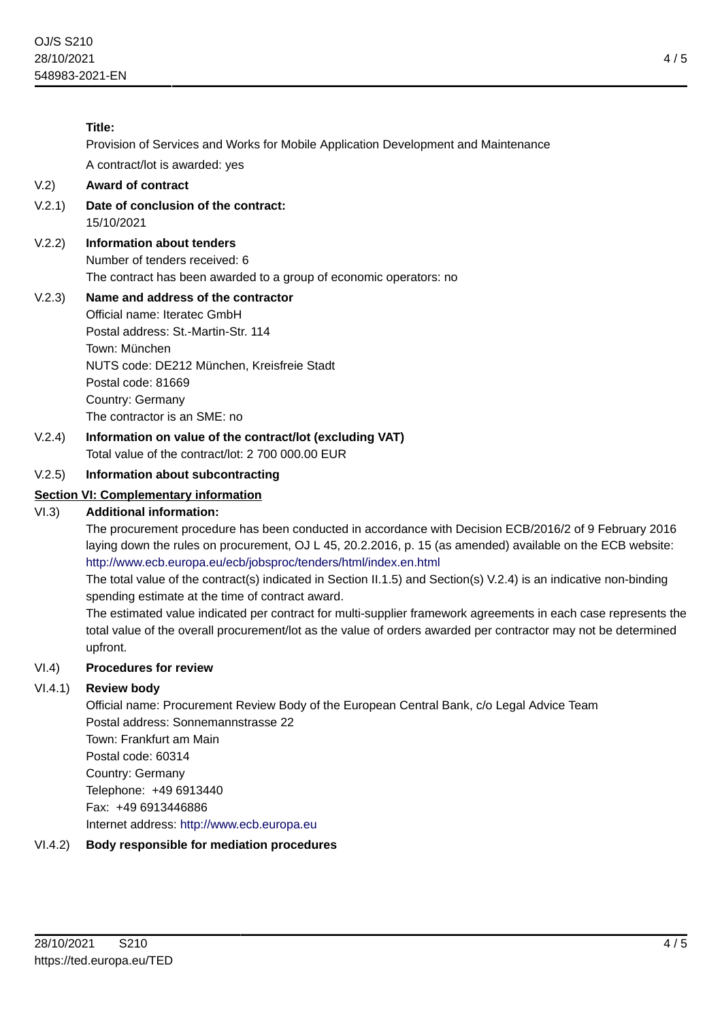# **Title:**

Provision of Services and Works for Mobile Application Development and Maintenance

A contract/lot is awarded: yes

# V.2) **Award of contract**

- V.2.1) **Date of conclusion of the contract:** 15/10/2021
- V.2.2) **Information about tenders** Number of tenders received: 6 The contract has been awarded to a group of economic operators: no

# V.2.3) **Name and address of the contractor**

Official name: Iteratec GmbH Postal address: St.-Martin-Str. 114 Town: München NUTS code: DE212 München, Kreisfreie Stadt Postal code: 81669 Country: Germany The contractor is an SME: no

V.2.4) **Information on value of the contract/lot (excluding VAT)** Total value of the contract/lot: 2 700 000.00 EUR

# V.2.5) **Information about subcontracting**

# **Section VI: Complementary information**

### VI.3) **Additional information:**

The procurement procedure has been conducted in accordance with Decision ECB/2016/2 of 9 February 2016 laying down the rules on procurement, OJ L 45, 20.2.2016, p. 15 (as amended) available on the ECB website: <http://www.ecb.europa.eu/ecb/jobsproc/tenders/html/index.en.html>

The total value of the contract(s) indicated in Section II.1.5) and Section(s) V.2.4) is an indicative non-binding spending estimate at the time of contract award.

The estimated value indicated per contract for multi-supplier framework agreements in each case represents the total value of the overall procurement/lot as the value of orders awarded per contractor may not be determined upfront.

### VI.4) **Procedures for review**

# VI.4.1) **Review body**

Official name: Procurement Review Body of the European Central Bank, c/o Legal Advice Team Postal address: Sonnemannstrasse 22 Town: Frankfurt am Main Postal code: 60314 Country: Germany Telephone: +49 6913440 Fax: +49 6913446886 Internet address: <http://www.ecb.europa.eu>

# VI.4.2) **Body responsible for mediation procedures**